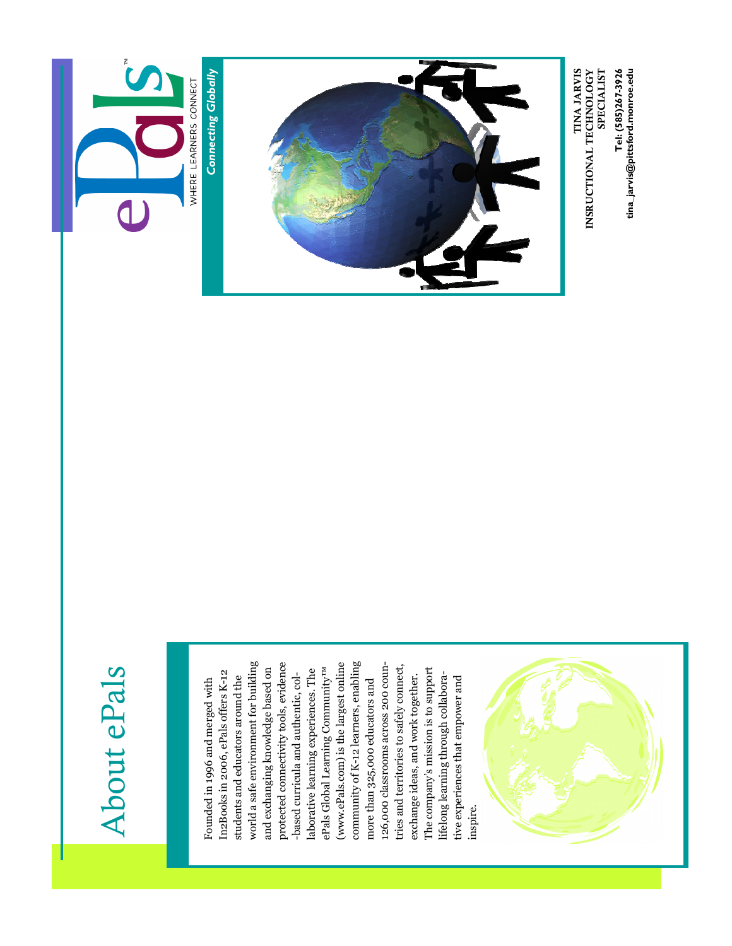

#### About ePals About ePals

world a safe environment for building world a safe environment for building community of K-12 learners, enabling protected connectivity tools, evidence (www.ePals.com) is the largest online (www.ePals.com) is the largest online community of K-12 learners, enabling 126,000 classrooms across 200 coun-126,000 classrooms across 200 countries and territories to safely connect, tries and territories to safely connect, protected connectivity tools, evidence and exchanging knowledge based on and exchanging knowledge based on ePals Global Learning Community<sup>TM</sup> ePals Global Learning Community™ The company's mission is to support laborative learning experiences. The laborative learning experiences. The The company's mission is to support In2Books in 2006, ePals offers K-12 In2Books in 2006, ePals offers K-12 -based curricula and authentic, collifelong learning through collaborastudents and educators around the exchange ideas, and work together. exchange ideas, and work together. lifelong learning through collaborastudents and educators around the -based curricula and authentic, coltive experiences that empower and tive experiences that empower and Founded in 1996 and merged with Founded in 1996 and merged with more than 325,000 educators and more than 325,000 educators and inspire.